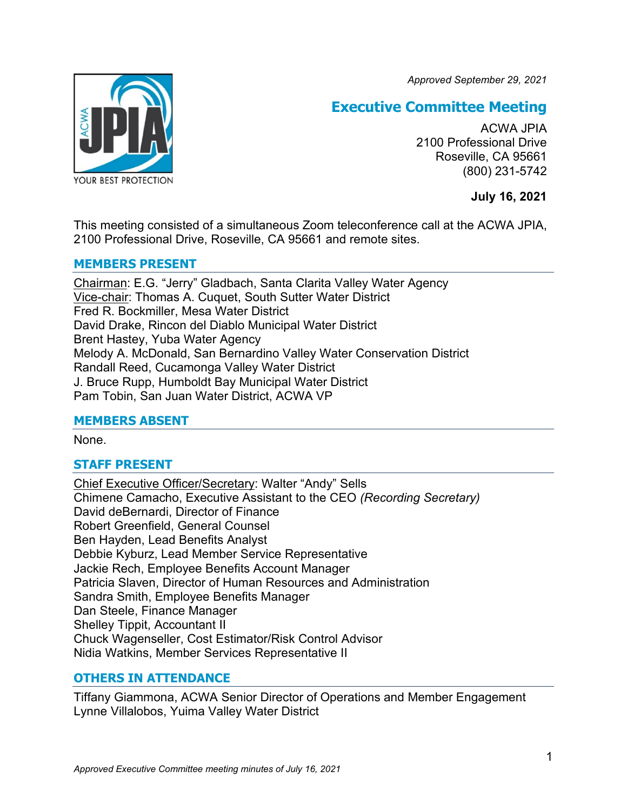*Approved September 29, 2021*



# **Executive Committee Meeting**

ACWA JPIA 2100 Professional Drive Roseville, CA 95661 (800) 231-5742

**July 16, 2021**

This meeting consisted of a simultaneous Zoom teleconference call at the ACWA JPIA, 2100 Professional Drive, Roseville, CA 95661 and remote sites.

### **MEMBERS PRESENT**

Chairman: E.G. "Jerry" Gladbach, Santa Clarita Valley Water Agency Vice-chair: Thomas A. Cuquet, South Sutter Water District Fred R. Bockmiller, Mesa Water District David Drake, Rincon del Diablo Municipal Water District Brent Hastey, Yuba Water Agency Melody A. McDonald, San Bernardino Valley Water Conservation District Randall Reed, Cucamonga Valley Water District J. Bruce Rupp, Humboldt Bay Municipal Water District Pam Tobin, San Juan Water District, ACWA VP

### **MEMBERS ABSENT**

None.

## **STAFF PRESENT**

Chief Executive Officer/Secretary: Walter "Andy" Sells Chimene Camacho, Executive Assistant to the CEO *(Recording Secretary)* David deBernardi, Director of Finance Robert Greenfield, General Counsel Ben Hayden, Lead Benefits Analyst Debbie Kyburz, Lead Member Service Representative Jackie Rech, Employee Benefits Account Manager Patricia Slaven, Director of Human Resources and Administration Sandra Smith, Employee Benefits Manager Dan Steele, Finance Manager Shelley Tippit, Accountant II Chuck Wagenseller, Cost Estimator/Risk Control Advisor Nidia Watkins, Member Services Representative II

## **OTHERS IN ATTENDANCE**

Tiffany Giammona, ACWA Senior Director of Operations and Member Engagement Lynne Villalobos, Yuima Valley Water District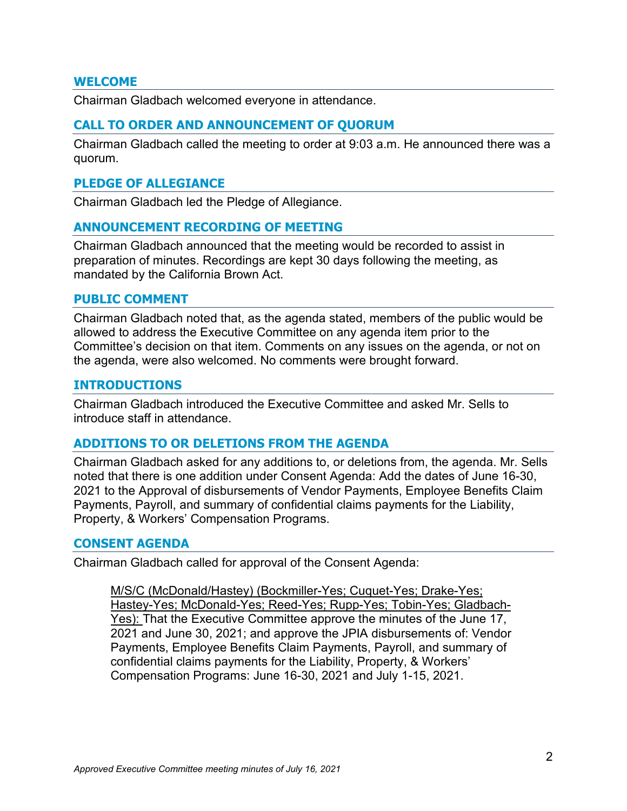#### **WELCOME**

Chairman Gladbach welcomed everyone in attendance.

### **CALL TO ORDER AND ANNOUNCEMENT OF QUORUM**

Chairman Gladbach called the meeting to order at 9:03 a.m. He announced there was a quorum.

#### **PLEDGE OF ALLEGIANCE**

Chairman Gladbach led the Pledge of Allegiance.

### **ANNOUNCEMENT RECORDING OF MEETING**

Chairman Gladbach announced that the meeting would be recorded to assist in preparation of minutes. Recordings are kept 30 days following the meeting, as mandated by the California Brown Act.

#### **PUBLIC COMMENT**

Chairman Gladbach noted that, as the agenda stated, members of the public would be allowed to address the Executive Committee on any agenda item prior to the Committee's decision on that item. Comments on any issues on the agenda, or not on the agenda, were also welcomed. No comments were brought forward.

#### **INTRODUCTIONS**

Chairman Gladbach introduced the Executive Committee and asked Mr. Sells to introduce staff in attendance.

#### **ADDITIONS TO OR DELETIONS FROM THE AGENDA**

Chairman Gladbach asked for any additions to, or deletions from, the agenda. Mr. Sells noted that there is one addition under Consent Agenda: Add the dates of June 16-30, 2021 to the Approval of disbursements of Vendor Payments, Employee Benefits Claim Payments, Payroll, and summary of confidential claims payments for the Liability, Property, & Workers' Compensation Programs.

#### **CONSENT AGENDA**

Chairman Gladbach called for approval of the Consent Agenda:

M/S/C (McDonald/Hastey) (Bockmiller-Yes; Cuquet-Yes; Drake-Yes; Hastey-Yes; McDonald-Yes; Reed-Yes; Rupp-Yes; Tobin-Yes; Gladbach-Yes): That the Executive Committee approve the minutes of the June 17, 2021 and June 30, 2021; and approve the JPIA disbursements of: Vendor Payments, Employee Benefits Claim Payments, Payroll, and summary of confidential claims payments for the Liability, Property, & Workers' Compensation Programs: June 16-30, 2021 and July 1-15, 2021.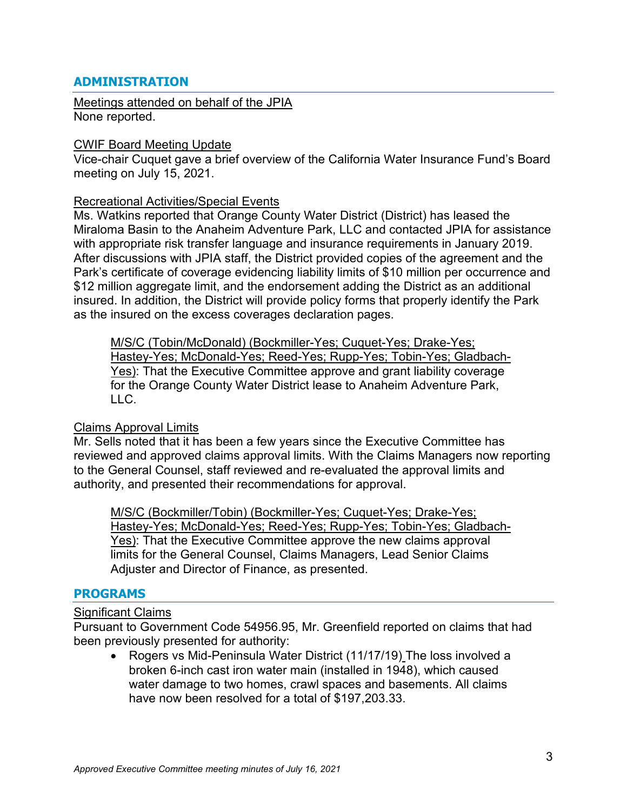### **ADMINISTRATION**

Meetings attended on behalf of the JPIA None reported.

#### CWIF Board Meeting Update

Vice-chair Cuquet gave a brief overview of the California Water Insurance Fund's Board meeting on July 15, 2021.

#### Recreational Activities/Special Events

Ms. Watkins reported that Orange County Water District (District) has leased the Miraloma Basin to the Anaheim Adventure Park, LLC and contacted JPIA for assistance with appropriate risk transfer language and insurance requirements in January 2019. After discussions with JPIA staff, the District provided copies of the agreement and the Park's certificate of coverage evidencing liability limits of \$10 million per occurrence and \$12 million aggregate limit, and the endorsement adding the District as an additional insured. In addition, the District will provide policy forms that properly identify the Park as the insured on the excess coverages declaration pages.

M/S/C (Tobin/McDonald) (Bockmiller-Yes; Cuquet-Yes; Drake-Yes; Hastey-Yes; McDonald-Yes; Reed-Yes; Rupp-Yes; Tobin-Yes; Gladbach-Yes): That the Executive Committee approve and grant liability coverage for the Orange County Water District lease to Anaheim Adventure Park, LLC.

#### Claims Approval Limits

Mr. Sells noted that it has been a few years since the Executive Committee has reviewed and approved claims approval limits. With the Claims Managers now reporting to the General Counsel, staff reviewed and re-evaluated the approval limits and authority, and presented their recommendations for approval.

M/S/C (Bockmiller/Tobin) (Bockmiller-Yes; Cuquet-Yes; Drake-Yes; Hastey-Yes; McDonald-Yes; Reed-Yes; Rupp-Yes; Tobin-Yes; Gladbach-Yes): That the Executive Committee approve the new claims approval limits for the General Counsel, Claims Managers, Lead Senior Claims Adjuster and Director of Finance, as presented.

### **PROGRAMS**

#### Significant Claims

Pursuant to Government Code 54956.95, Mr. Greenfield reported on claims that had been previously presented for authority:

• Rogers vs Mid-Peninsula Water District (11/17/19) The loss involved a broken 6-inch cast iron water main (installed in 1948), which caused water damage to two homes, crawl spaces and basements. All claims have now been resolved for a total of \$197,203.33.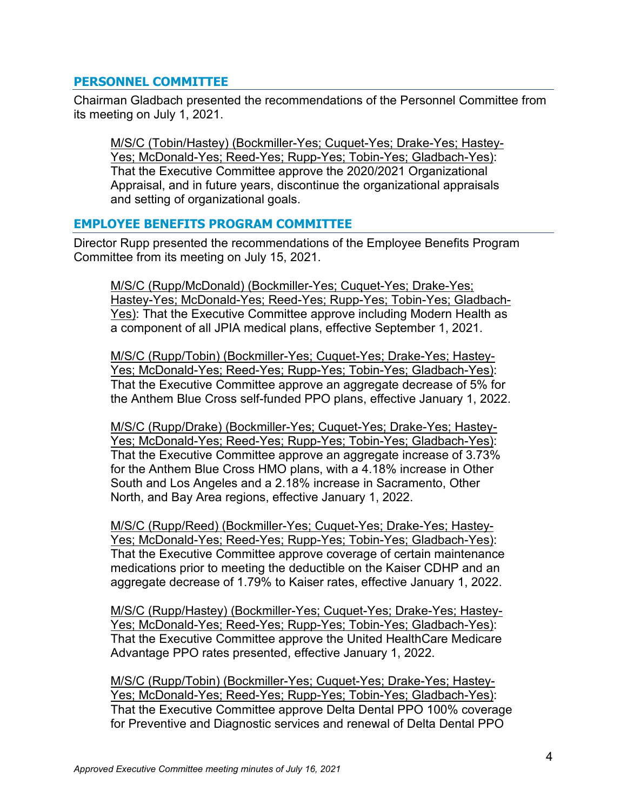### **PERSONNEL COMMITTEE**

Chairman Gladbach presented the recommendations of the Personnel Committee from its meeting on July 1, 2021.

M/S/C (Tobin/Hastey) (Bockmiller-Yes; Cuquet-Yes; Drake-Yes; Hastey-Yes; McDonald-Yes; Reed-Yes; Rupp-Yes; Tobin-Yes; Gladbach-Yes): That the Executive Committee approve the 2020/2021 Organizational Appraisal, and in future years, discontinue the organizational appraisals and setting of organizational goals.

### **EMPLOYEE BENEFITS PROGRAM COMMITTEE**

Director Rupp presented the recommendations of the Employee Benefits Program Committee from its meeting on July 15, 2021.

M/S/C (Rupp/McDonald) (Bockmiller-Yes; Cuquet-Yes; Drake-Yes; Hastey-Yes; McDonald-Yes; Reed-Yes; Rupp-Yes; Tobin-Yes; Gladbach-Yes): That the Executive Committee approve including Modern Health as a component of all JPIA medical plans, effective September 1, 2021.

M/S/C (Rupp/Tobin) (Bockmiller-Yes; Cuquet-Yes; Drake-Yes; Hastey-Yes; McDonald-Yes; Reed-Yes; Rupp-Yes; Tobin-Yes; Gladbach-Yes): That the Executive Committee approve an aggregate decrease of 5% for the Anthem Blue Cross self-funded PPO plans, effective January 1, 2022.

M/S/C (Rupp/Drake) (Bockmiller-Yes; Cuquet-Yes; Drake-Yes; Hastey-Yes; McDonald-Yes; Reed-Yes; Rupp-Yes; Tobin-Yes; Gladbach-Yes): That the Executive Committee approve an aggregate increase of 3.73% for the Anthem Blue Cross HMO plans, with a 4.18% increase in Other South and Los Angeles and a 2.18% increase in Sacramento, Other North, and Bay Area regions, effective January 1, 2022.

M/S/C (Rupp/Reed) (Bockmiller-Yes; Cuquet-Yes; Drake-Yes; Hastey-Yes; McDonald-Yes; Reed-Yes; Rupp-Yes; Tobin-Yes; Gladbach-Yes): That the Executive Committee approve coverage of certain maintenance medications prior to meeting the deductible on the Kaiser CDHP and an aggregate decrease of 1.79% to Kaiser rates, effective January 1, 2022.

M/S/C (Rupp/Hastey) (Bockmiller-Yes; Cuquet-Yes; Drake-Yes; Hastey-Yes; McDonald-Yes; Reed-Yes; Rupp-Yes; Tobin-Yes; Gladbach-Yes): That the Executive Committee approve the United HealthCare Medicare Advantage PPO rates presented, effective January 1, 2022.

M/S/C (Rupp/Tobin) (Bockmiller-Yes; Cuquet-Yes; Drake-Yes; Hastey-Yes; McDonald-Yes; Reed-Yes; Rupp-Yes; Tobin-Yes; Gladbach-Yes): That the Executive Committee approve Delta Dental PPO 100% coverage for Preventive and Diagnostic services and renewal of Delta Dental PPO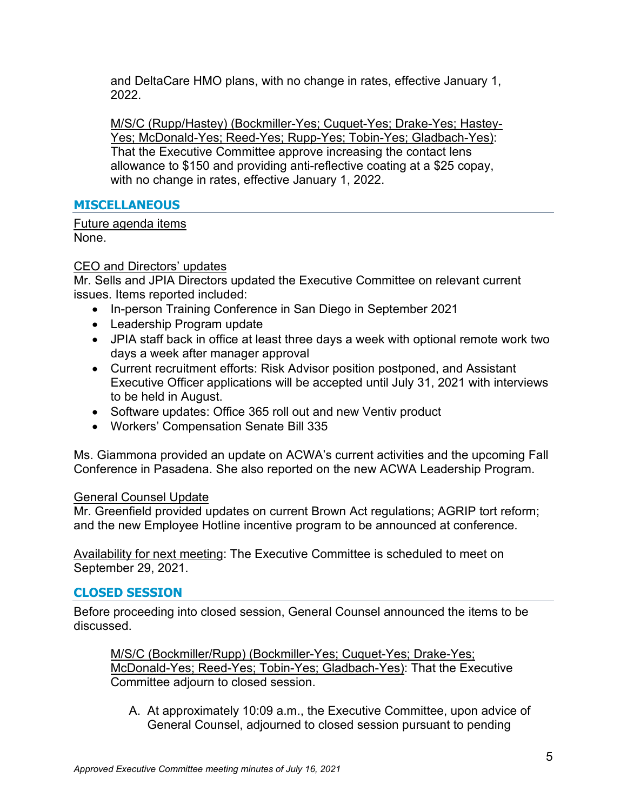and DeltaCare HMO plans, with no change in rates, effective January 1, 2022.

M/S/C (Rupp/Hastey) (Bockmiller-Yes; Cuquet-Yes; Drake-Yes; Hastey-Yes; McDonald-Yes; Reed-Yes; Rupp-Yes; Tobin-Yes; Gladbach-Yes): That the Executive Committee approve increasing the contact lens allowance to \$150 and providing anti-reflective coating at a \$25 copay, with no change in rates, effective January 1, 2022.

## **MISCELLANEOUS**

Future agenda items None.

## CEO and Directors' updates

Mr. Sells and JPIA Directors updated the Executive Committee on relevant current issues. Items reported included:

- In-person Training Conference in San Diego in September 2021
- Leadership Program update
- JPIA staff back in office at least three days a week with optional remote work two days a week after manager approval
- Current recruitment efforts: Risk Advisor position postponed, and Assistant Executive Officer applications will be accepted until July 31, 2021 with interviews to be held in August.
- Software updates: Office 365 roll out and new Ventiv product
- Workers' Compensation Senate Bill 335

Ms. Giammona provided an update on ACWA's current activities and the upcoming Fall Conference in Pasadena. She also reported on the new ACWA Leadership Program.

### General Counsel Update

Mr. Greenfield provided updates on current Brown Act regulations; AGRIP tort reform; and the new Employee Hotline incentive program to be announced at conference.

Availability for next meeting: The Executive Committee is scheduled to meet on September 29, 2021.

### **CLOSED SESSION**

Before proceeding into closed session, General Counsel announced the items to be discussed.

M/S/C (Bockmiller/Rupp) (Bockmiller-Yes; Cuquet-Yes; Drake-Yes; McDonald-Yes; Reed-Yes; Tobin-Yes; Gladbach-Yes): That the Executive Committee adjourn to closed session.

A. At approximately 10:09 a.m., the Executive Committee, upon advice of General Counsel, adjourned to closed session pursuant to pending